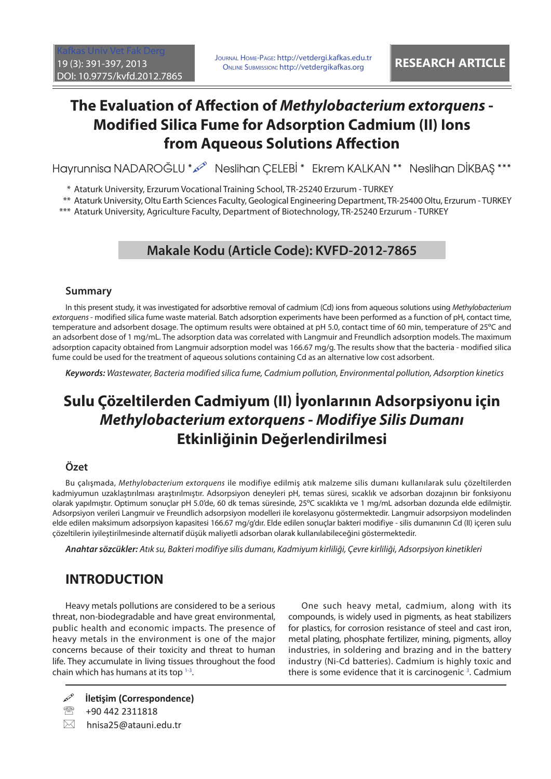# **The Evaluation of Affection of** *Methylobacterium extorquens* -**Modified Silica Fume for Adsorption Cadmium (II) Ions from Aqueous Solutions Affection**

Hayrunnisa NADAROĞLU \* 2 Neslihan ÇELEBİ \* Ekrem KALKAN \* \* Neslihan DİKBAŞ \*\*\*

\* Ataturk University, Erzurum Vocational Training School, TR-25240 Erzurum - TURKEY

\*\* Ataturk University, Oltu Earth Sciences Faculty, Geological Engineering Department, TR-25400 Oltu, Erzurum - TURKEY

\*\*\* Ataturk University, Agriculture Faculty, Department of Biotechnology, TR-25240 Erzurum - TURKEY

## **Makale Kodu (Article Code): KVFD-2012-7865**

### **Summary**

In this present study, it was investigated for adsorbtive removal of cadmium (Cd) ions from aqueous solutions using Methylobacterium extorquens - modified silica fume waste material. Batch adsorption experiments have been performed as a function of pH, contact time, temperature and adsorbent dosage. The optimum results were obtained at pH 5.0, contact time of 60 min, temperature of 25°C and an adsorbent dose of 1 mg/mL. The adsorption data was correlated with Langmuir and Freundlich adsorption models. The maximum adsorption capacity obtained from Langmuir adsorption model was 166.67 mg/g. The results show that the bacteria - modified silica fume could be used for the treatment of aqueous solutions containing Cd as an alternative low cost adsorbent.

*Keywords:* Wastewater, Bacteria modified silica fume, Cadmium pollution, Environmental pollution, Adsorption kinetics

# **Sulu Çözeltilerden Cadmiyum (II) İyonlarının Adsorpsiyonu için**  *Methylobacterium extorquens* **-** *Modifiye Silis Dumanı* **Etkinliğinin Değerlendirilmesi**

### **Özet**

Bu çalışmada, Methylobacterium extorquens ile modifiye edilmiş atık malzeme silis dumanı kullanılarak sulu çözeltilerden kadmiyumun uzaklaştırılması araştırılmıştır. Adsorpsiyon deneyleri pH, temas süresi, sıcaklık ve adsorban dozajının bir fonksiyonu olarak yapılmıştır. Optimum sonuçlar pH 5.0'de, 60 dk temas süresinde, 25ºC sıcaklıkta ve 1 mg/mL adsorban dozunda elde edilmiştir. Adsorpsiyon verileri Langmuir ve Freundlich adsorpsiyon modelleri ile korelasyonu göstermektedir. Langmuir adsorpsiyon modelinden elde edilen maksimum adsorpsiyon kapasitesi 166.67 mg/g'dır. Elde edilen sonuçlar bakteri modifiye - silis dumanının Cd (II) içeren sulu çözeltilerin iyileştirilmesinde alternatif düşük maliyetli adsorban olarak kullanılabileceğini göstermektedir.

*Anahtar sözcükler:* Atık su, Bakteri modifiye silis dumanı, Kadmiyum kirliliği, Çevre kirliliği, Adsorpsiyon kinetikleri

## **INTRODUCTION**

Heavy metals pollutions are considered to be a serious threat, non-biodegradable and have great environmental, public health and economic impacts. The presence of heavy metals in the environment is one of the major concerns because of their toxicity and threat to human life. They accumulate in living tissues throughout the food chain which has humans at its top [1-3.](#page-6-0) 

One such heavy metal, cadmium, along with its compounds, is widely used in pigments, as heat stabilizers for plastics, for corrosion resistance of steel and cast iron, metal plating, phosphate fertilizer, mining, pigments, alloy industries, in soldering and brazing and in the battery industry (Ni-Cd batteries). Cadmium is highly toxic and there is some evidence that it is carcinogenic  $3$ . Cadmium

**İletişim (Correspondence)**

<sup>2</sup> +90 442 2311818

 $\boxtimes$  hnisa25@atauni.edu.tr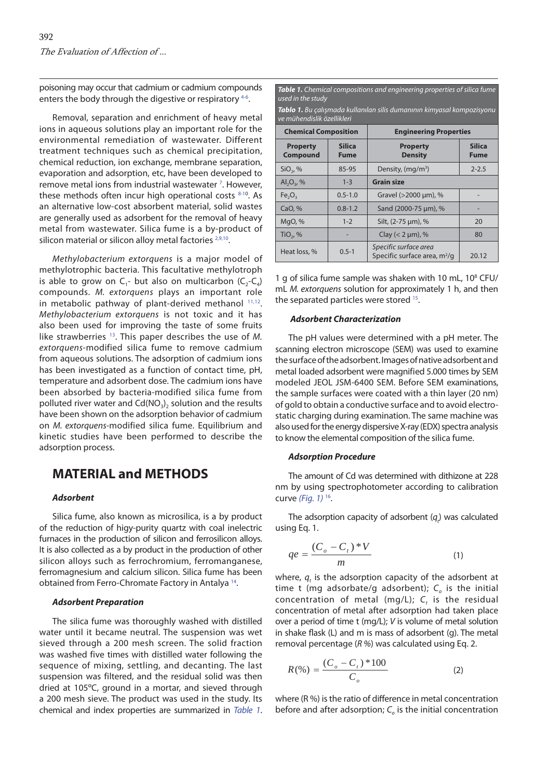poisoning may occur that cadmium or cadmium compounds enters the body through the digestive or respiratory <sup>4-6</sup>.

Removal, separation and enrichment of heavy metal ions in aqueous solutions play an important role for the environmental remediation of wastewater. Different treatment techniques such as chemical precipitation, chemical reduction, ion exchange, membrane separation, evaporation and adsorption, etc, have been developed to remove metal ions from industrial wastewater<sup>[7](#page-6-0)</sup>. However, these methods often incur high operational costs  $8-10$ . As an alternative low-cost absorbent material, solid wastes are generally used as adsorbent for the removal of heavy metal from wastewater. Silica fume is a by-product of silicon material or silicon alloy metal factories <sup>2,9,10</sup>.

Methylobacterium extorquens is a major model of methylotrophic bacteria. This facultative methylotroph is able to grow on  $C_1$ - but also on multicarbon  $(C_2-C_4)$ compounds. M. extorquens plays an important role in metabolic pathway of plant-derived methanol [11,12](#page-6-0). Methylobacterium extorquens is not toxic and it has also been used for improving the taste of some fruits like strawberries  $13$ . This paper describes the use of M. extorquens-modified silica fume to remove cadmium from aqueous solutions. The adsorption of cadmium ions has been investigated as a function of contact time, pH, temperature and adsorbent dose. The cadmium ions have been absorbed by bacteria-modified silica fume from polluted river water and  $Cd(NO<sub>3</sub>)<sub>2</sub>$  solution and the results have been shown on the adsorption behavior of cadmium on M. extorquens-modified silica fume. Equilibrium and kinetic studies have been performed to describe the adsorption process.

## **MATERIAL and METHODS**

#### *Adsorbent*

Silica fume, also known as microsilica, is a by product of the reduction of higy-purity quartz with coal inelectric furnaces in the production of silicon and ferrosilicon alloys. It is also collected as a by product in the production of other silicon alloys such as ferrochromium, ferromanganese, ferromagnesium and calcium silicon. Silica fume has been obtained from Ferro-Chromate Factory in Antalya [14.](#page-6-0) 

#### *Adsorbent Preparation*

The silica fume was thoroughly washed with distilled water until it became neutral. The suspension was wet sieved through a 200 mesh screen. The solid fraction was washed five times with distilled water following the sequence of mixing, settling, and decanting. The last suspension was filtered, and the residual solid was then dried at 105ºC, ground in a mortar, and sieved through a 200 mesh sieve. The product was used in the study. Its chemical and index properties are summarized in Table 1.

| <b>Table 1.</b> Chemical compositions and engineering properties of silica fume<br>used in the study        |                              |                                                         |                              |  |  |  |  |
|-------------------------------------------------------------------------------------------------------------|------------------------------|---------------------------------------------------------|------------------------------|--|--|--|--|
| <b>Tablo 1.</b> Bu çalışmada kullanılan silis dumanının kimyasal kompozisyonu<br>ve mühendislik özellikleri |                              |                                                         |                              |  |  |  |  |
| <b>Chemical Composition</b>                                                                                 |                              | <b>Engineering Properties</b>                           |                              |  |  |  |  |
| <b>Property</b><br><b>Compound</b>                                                                          | <b>Silica</b><br><b>Fume</b> | <b>Property</b><br><b>Density</b>                       | <b>Silica</b><br><b>Fume</b> |  |  |  |  |
| $SiO2$ , %                                                                                                  | 85-95                        | Density, (mg/m <sup>3</sup> )                           | $2 - 2.5$                    |  |  |  |  |
| $AI_2O_3$ , %                                                                                               | $1 - 3$                      | <b>Grain size</b>                                       |                              |  |  |  |  |
| Fe <sub>2</sub> O <sub>3</sub>                                                                              | $0.5 - 1.0$                  | Gravel (>2000 µm), %                                    |                              |  |  |  |  |
| CaO, %                                                                                                      | $0.8 - 1.2$                  | Sand (2000-75 µm), %                                    |                              |  |  |  |  |
| MgO, %                                                                                                      | $1 - 2$                      | Silt, (2-75 µm), %                                      | 20                           |  |  |  |  |
| $TiO2$ , %                                                                                                  |                              | Clay ( $<$ 2 µm), %                                     | 80                           |  |  |  |  |
| Heat loss, %                                                                                                | $0.5 - 1$                    | Specific surface area<br>Specific surface area, $m^2/q$ | 20.12                        |  |  |  |  |

1 g of silica fume sample was shaken with 10 mL, 10<sup>8</sup> CFU/ mL M. extorquens solution for approximately 1 h, and then the separated particles were stored <sup>15</sup>.

#### *Adsorbent Characterization*

The pH values were determined with a pH meter. The scanning electron microscope (SEM) was used to examine the surface of the adsorbent. Images of native adsorbent and metal loaded adsorbent were magnified 5.000 times by SEM modeled JEOL JSM-6400 SEM. Before SEM examinations, the sample surfaces were coated with a thin layer (20 nm) of gold to obtain a conductive surface and to avoid electrostatic charging during examination. The same machine was also used for the energy dispersive X-ray (EDX) spectra analysis to know the elemental composition of the silica fume.

#### *Adsorption Procedure*

The amount of Cd was determined with dithizone at 228 nm by using spectrophotometer according to calibration curve (Fig.  $1$ ) <sup>16</sup>.

The adsorption capacity of adsorbent  $(q_t)$  was calculated using Eq. 1.

$$
qe = \frac{(C_o - C_t)*V}{m} \tag{1}
$$

where,  $q_t$  is the adsorption capacity of the adsorbent at time t (mg adsorbate/g adsorbent);  $C<sub>o</sub>$  is the initial concentration of metal (mg/L);  $C_t$  is the residual concentration of metal after adsorption had taken place over a period of time t (mg/L); V is volume of metal solution in shake flask  $(L)$  and m is mass of adsorbent  $(q)$ . The metal removal percentage ( $R$ %) was calculated using Eq. 2.

$$
R(\%) = \frac{(C_o - C_t) * 100}{C_o}
$$
 (2)

where  $(R \%)$  is the ratio of difference in metal concentration before and after adsorption;  $C<sub>o</sub>$  is the initial concentration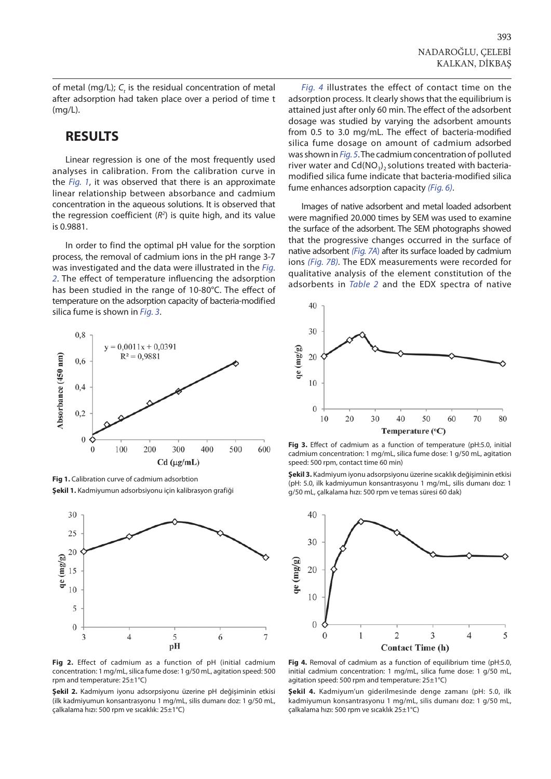<span id="page-2-0"></span>of metal (mg/L);  $C_t$  is the residual concentration of metal after adsorption had taken place over a period of time t (mg/L).

### **RESULTS**

Linear regression is one of the most frequently used analyses in calibration. From the calibration curve in the *Fig. 1*, it was observed that there is an approximate linear relationship between absorbance and cadmium concentration in the aqueous solutions. It is observed that the regression coefficient  $(R^2)$  is quite high, and its value is 0.9881.

In order to find the optimal pH value for the sorption process, the removal of cadmium ions in the pH range 3-7 was investigated and the data were illustrated in the Fig. 2. The effect of temperature influencing the adsorption has been studied in the range of 10-80°C. The effect of temperature on the adsorption capacity of bacteria-modified silica fume is shown in *Fig. 3.* 



**Fig 1.** Calibration curve of cadmium adsorbtion **Şekil 1.** Kadmiyumun adsorbsiyonu için kalibrasyon grafiği



**Fig 2.** Effect of cadmium as a function of pH (initial cadmium concentration: 1 mg/mL, silica fume dose: 1 g/50 mL, agitation speed: 500 rpm and temperature: 25±1°C)

**Şekil 2.** Kadmiyum iyonu adsorpsiyonu üzerine pH değişiminin etkisi (ilk kadmiyumun konsantrasyonu 1 mg/mL, silis dumanı doz: 1 g/50 mL, çalkalama hızı: 500 rpm ve sıcaklık: 25±1°C)

Fig. 4 illustrates the effect of contact time on the adsorption process. It clearly shows that the equilibrium is attained just after only 60 min. The effect of the adsorbent dosage was studied by varying the adsorbent amounts from 0.5 to 3.0 mg/mL. The effect of bacteria-modified silica fume dosage on amount of cadmium adsorbed was shown in [Fig. 5](#page-3-0). The cadmium concentration of polluted river water and  $Cd(NO<sub>3</sub>)$ , solutions treated with bacteriamodified silica fume indicate that bacteria-modified silica fume enhances adsorption capacity [\(Fig. 6\)](#page-3-0).

Images of native adsorbent and metal loaded adsorbent were magnified 20.000 times by SEM was used to examine the surface of the adsorbent. The SEM photographs showed that the progressive changes occurred in the surface of native adsorbent [\(Fig. 7A](#page-3-0)) after its surface loaded by cadmium ions [\(Fig. 7B\).](#page-3-0) The EDX measurements were recorded for qualitative analysis of the element constitution of the adsorbents in [Table 2](#page-3-0) and the EDX spectra of native



**Fig 3.** Effect of cadmium as a function of temperature (pH:5.0, initial cadmium concentration: 1 mg/mL, silica fume dose: 1 g/50 mL, agitation speed: 500 rpm, contact time 60 min)

**Şekil 3.** Kadmiyum iyonu adsorpsiyonu üzerine sıcaklık değişiminin etkisi (pH: 5.0, ilk kadmiyumun konsantrasyonu 1 mg/mL, silis dumanı doz: 1 g/50 mL, çalkalama hızı: 500 rpm ve temas süresi 60 dak)



**Fig 4.** Removal of cadmium as a function of equilibrium time (pH:5.0, initial cadmium concentration: 1 mg/mL, silica fume dose: 1 g/50 mL, agitation speed: 500 rpm and temperature: 25±1°C)

**Şekil 4.** Kadmiyum'un giderilmesinde denge zamanı (pH: 5.0, ilk kadmiyumun konsantrasyonu 1 mg/mL, silis dumanı doz: 1 g/50 mL, çalkalama hızı: 500 rpm ve sıcaklık 25±1°C)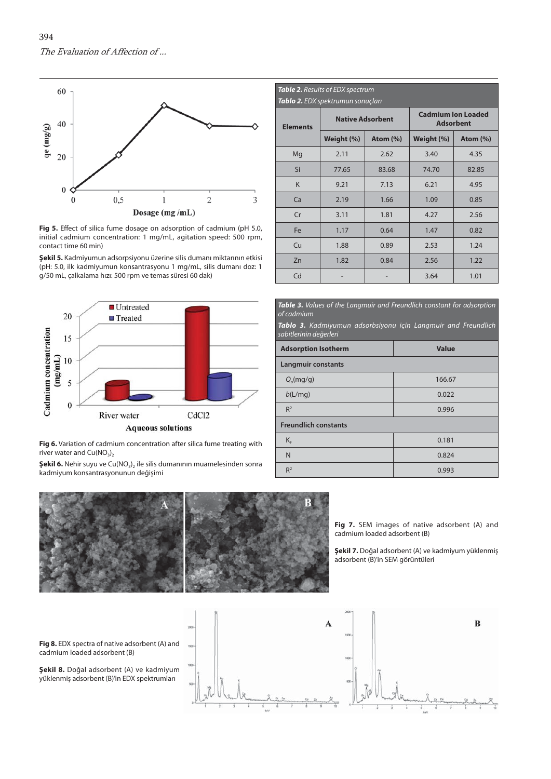<span id="page-3-0"></span>

Fig 5. Effect of silica fume dosage on adsorption of cadmium (pH 5.0, initial cadmium concentration: 1 mg/mL, agitation speed: 500 rpm, contact time 60 min)

**Şekil 5.** Kadmiyumun adsorpsiyonu üzerine silis dumanı miktarının etkisi (pH: 5.0, ilk kadmiyumun konsantrasyonu 1 mg/mL, silis dumanı doz: 1 g/50 mL, çalkalama hızı: 500 rpm ve temas süresi 60 dak)



**Fig 6.** Variation of cadmium concentration after silica fume treating with river water and  $Cu(NO_3)$ 

**Şekil 6.** Nehir suyu ve Cu(NO<sub>3</sub>), ile silis dumanının muamelesinden sonra kadmiyum konsantrasyonunun değişimi



*Table 3.* Values of the Langmuir and Freundlich constant for adsorption of cadmium

*Tablo 3.* Kadmiyumun adsorbsiyonu için Langmuir and Freundlich sabitlerinin değerleri

| <b>Adsorption Isotherm</b>  | <b>Value</b> |  |  |  |  |
|-----------------------------|--------------|--|--|--|--|
| <b>Langmuir constants</b>   |              |  |  |  |  |
| Q <sub>o</sub> (mg/g)       | 166.67       |  |  |  |  |
| b(L/mq)                     | 0.022        |  |  |  |  |
| R <sup>2</sup>              | 0.996        |  |  |  |  |
| <b>Freundlich constants</b> |              |  |  |  |  |
| $K_F$                       | 0.181        |  |  |  |  |
| N                           | 0.824        |  |  |  |  |
| R <sup>2</sup>              | 0.993        |  |  |  |  |



**Fig 7.** SEM images of native adsorbent (A) and cadmium loaded adsorbent (B)

**Şekil 7.** Doğal adsorbent (A) ve kadmiyum yüklenmiş adsorbent (B)'in SEM görüntüleri

**Fig 8.** EDX spectra of native adsorbent (A) and cadmium loaded adsorbent (B)

**Şekil 8.** Doğal adsorbent (A) ve kadmiyum yüklenmiş adsorbent (B)'in EDX spektrumları

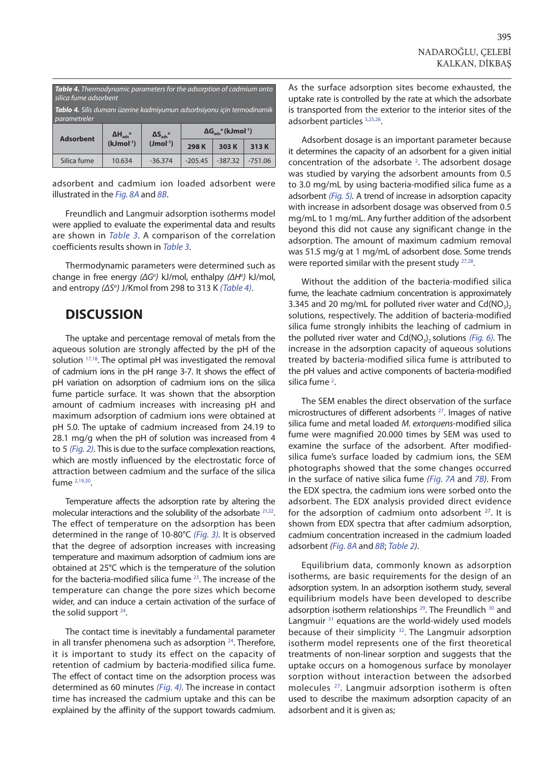<span id="page-4-0"></span>

| <b>Table 4.</b> Thermodynamic parameters for the adsorption of cadmium onto<br>silica fume adsorbent<br><b>Tablo 4.</b> Silis dumanı üzerine kadmiyumun adsorbsiyonu için termodinamik<br>parametreler |                                                     |                                               |                                                        |           |           |  |  |  |  |
|--------------------------------------------------------------------------------------------------------------------------------------------------------------------------------------------------------|-----------------------------------------------------|-----------------------------------------------|--------------------------------------------------------|-----------|-----------|--|--|--|--|
| <b>Adsorbent</b>                                                                                                                                                                                       | $\Delta H_{\text{ads}}$ <sup>o</sup><br>$(kJmol-1)$ | $\Delta S_{\text{ads}}^{\circ}$<br>$(Jmol-1)$ | $\Delta G_{\text{ads}}^{\circ}$ (kJmol <sup>-1</sup> ) |           |           |  |  |  |  |
|                                                                                                                                                                                                        |                                                     |                                               | 298K                                                   | 303K      | 313K      |  |  |  |  |
| Silica fume                                                                                                                                                                                            | 10.634                                              | $-36.374$                                     | $-205.45$                                              | $-387.32$ | $-751.06$ |  |  |  |  |

adsorbent and cadmium ion loaded adsorbent were illustrated in the [Fig. 8A](#page-3-0) and 8B.

Freundlich and Langmuir adsorption isotherms model were applied to evaluate the experimental data and results are shown in [Table](#page-3-0) 3. A comparison of the correlation coefficients results shown in [Table](#page-3-0) 3.

Thermodynamic parameters were determined such as change in free energy (ΔG<sup>o</sup>) kJ/mol, enthalpy (ΔH<sup>o</sup>) kJ/mol, and entropy (ΔS<sup>o</sup>) J/Kmol from 298 to 313 K (Table 4).

## **DISCUSSION**

The uptake and percentage removal of metals from the aqueous solution are strongly affected by the pH of the solution <sup>[17,18](#page-6-0)</sup>. The optimal pH was investigated the removal of cadmium ions in the pH range 3-7. It shows the effect of pH variation on adsorption of cadmium ions on the silica fume particle surface. It was shown that the absorption amount of cadmium increases with increasing pH and maximum adsorption of cadmium ions were obtained at pH 5.0. The uptake of cadmium increased from 24.19 to 28.1 mg/g when the pH of solution was increased from 4 to 5 [\(Fig. 2\)](#page-2-0). This is due to the surface complexation reactions, which are mostly influenced by the electrostatic force of attraction between cadmium and the surface of the silica fum[e 2,19,20.](#page-6-0) 

Temperature affects the adsorption rate by altering the molecular interactions and the solubility of the adsorbate [21,22.](#page-6-0) The effect of temperature on the adsorption has been determined in the range of 10-80°C [\(Fig. 3\).](#page-2-0) It is observed that the degree of adsorption increases with increasing temperature and maximum adsorption of cadmium ions are obtained at 25°C which is the temperature of the solution for the bacteria-modified silica fume [23.](#page-6-0) The increase of the temperature can change the pore sizes which become wider, and can induce a certain activation of the surface of the solid support  $24$ .

The contact time is inevitably a fundamental parameter in all transfer phenomena such as adsorption  $24$ . Therefore, it is important to study its effect on the capacity of retention of cadmium by bacteria-modified silica fume. The effect of contact time on the adsorption process was determined as 60 minutes (Fig. 4). The increase in contact time has increased the cadmium uptake and this can be explained by the affinity of the support towards cadmium.

As the surface adsorption sites become exhausted, the uptake rate is controlled by the rate at which the adsorbate is transported from the exterior to the interior sites of the adsorbent particles [3,25,26.](#page-6-0) 

Adsorbent dosage is an important parameter because it determines the capacity of an adsorbent for a given initial concentration of the adsorbate<sup>[2](#page-6-0)</sup>. The adsorbent dosage was studied by varying the adsorbent amounts from 0.5 to 3.0 mg/mL by using bacteria-modified silica fume as a adsorbent [\(Fig. 5\).](#page-3-0) A trend of increase in adsorption capacity with increase in adsorbent dosage was observed from 0.5 mg/mL to 1 mg/mL. Any further addition of the adsorbent beyond this did not cause any significant change in the adsorption. The amount of maximum cadmium removal was 51.5 mg/g at 1 mg/mL of adsorbent dose. Some trends were reported similar with the present study [27,28.](#page-6-0)

Without the addition of the bacteria-modified silica fume, the leachate cadmium concentration is approximately 3.345 and 20 mg/mL for polluted river water and  $Cd(NO<sub>3</sub>)$ , solutions, respectively. The addition of bacteria-modified silica fume strongly inhibits the leaching of cadmium in the polluted river water and  $Cd(NO<sub>3</sub>)<sub>2</sub>$  solutions [\(Fig. 6\)](#page-3-0). The increase in the adsorption capacity of aqueous solutions treated by bacteria-modified silica fume is attributed to the pH values and active components of bacteria-modified silica fume<sup>2</sup>.

The SEM enables the direct observation of the surface microstructures of different adsorbents <sup>27</sup>. Images of native silica fume and metal loaded M. extorquens-modified silica fume were magnified 20.000 times by SEM was used to examine the surface of the adsorbent. After modifiedsilica fume's surface loaded by cadmium ions, the SEM photographs showed that the some changes occurred in the surface of native silica fume [\(Fig. 7A](#page-3-0) and [7B\)](#page-3-0). From the EDX spectra, the cadmium ions were sorbed onto the adsorbent. The EDX analysis provided direct evidence for the adsorption of cadmium onto adsorbent  $27$ . It is shown from EDX spectra that after cadmium adsorption, cadmium concentration increased in the cadmium loaded adsorbent [\(Fig. 8A](#page-3-0) and 8B; [Table](#page-3-0) 2).

Equilibrium data, commonly known as adsorption isotherms, are basic requirements for the design of an adsorption system. In an adsorption isotherm study, several equilibrium models have been developed to describe adsorption isotherm relationships <sup>29</sup>. The Freundlich <sup>30</sup> and Langmuir<sup>31</sup> equations are the world-widely used models because of their simplicity <sup>32</sup>. The Langmuir adsorption isotherm model represents one of the first theoretical treatments of non-linear sorption and suggests that the uptake occurs on a homogenous surface by monolayer sorption without interaction between the adsorbed molecule[s 27.](#page-6-0) Langmuir adsorption isotherm is often used to describe the maximum adsorption capacity of an adsorbent and it is given as;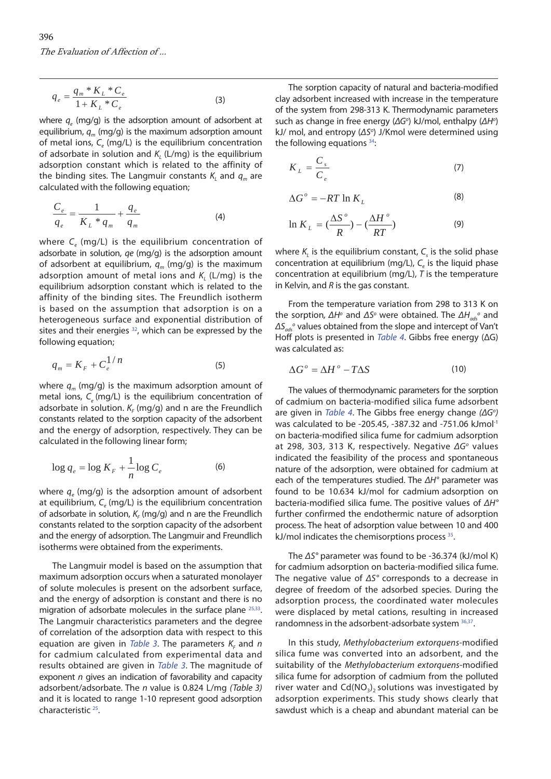$$
q_e = \frac{q_m * K_L * C_e}{1 + K_L * C_e}
$$
 (3)

where  $q_e$  (mg/g) is the adsorption amount of adsorbent at equilibrium,  $q_m$  (mg/g) is the maximum adsorption amount of metal ions,  $C_e$  (mg/L) is the equilibrium concentration of adsorbate in solution and  $K_L$  (L/mg) is the equilibrium adsorption constant which is related to the affinity of the binding sites. The Langmuir constants  $K_i$  and  $q_m$  are calculated with the following equation;

$$
\frac{C_e}{q_e} = \frac{1}{K_L * q_m} + \frac{q_e}{q_m}
$$
 (4)

where  $C_e$  (mg/L) is the equilibrium concentration of adsorbate in solution,  $qe$  (mg/g) is the adsorption amount of adsorbent at equilibrium,  $q_m$  (mg/g) is the maximum adsorption amount of metal ions and  $K_i$  (L/mg) is the equilibrium adsorption constant which is related to the affinity of the binding sites. The Freundlich isotherm is based on the assumption that adsorption is on a heterogeneous surface and exponential distribution of sites and their energies  $32$ , which can be expressed by the following equation;

$$
q_m = K_F + C_e^{1/n} \tag{5}
$$

where  $q_m$  (mg/g) is the maximum adsorption amount of metal ions,  $C_{\alpha}$  (mg/L) is the equilibrium concentration of adsorbate in solution.  $K_F$  (mg/g) and n are the Freundlich constants related to the sorption capacity of the adsorbent and the energy of adsorption, respectively. They can be calculated in the following linear form;

$$
\log q_e = \log K_F + \frac{1}{n} \log C_e \tag{6}
$$

where  $q_e$  (mg/g) is the adsorption amount of adsorbent at equilibrium,  $C_e$  (mg/L) is the equilibrium concentration of adsorbate in solution,  $K_F$  (mg/g) and n are the Freundlich constants related to the sorption capacity of the adsorbent and the energy of adsorption. The Langmuir and Freundlich isotherms were obtained from the experiments.

The Langmuir model is based on the assumption that maximum adsorption occurs when a saturated monolayer of solute molecules is present on the adsorbent surface, and the energy of adsorption is constant and there is no migration of adsorbate molecules in the surface plane [25,33.](#page-6-0) The Langmuir characteristics parameters and the degree of correlation of the adsorption data with respect to this equation are given in [Table 3](#page-3-0). The parameters  $K<sub>r</sub>$  and n for cadmium calculated from experimental data and results obtained are given in [Table](#page-3-0) 3. The magnitude of exponent  $n$  gives an indication of favorability and capacity adsorbent/adsorbate. The n value is 0.824 L/mg (Table 3) and it is located to range 1-10 represent good adsorption characteristi[c 25.](#page-6-0)

The sorption capacity of natural and bacteria-modified clay adsorbent increased with increase in the temperature of the system from 298-313 K. Thermodynamic parameters such as change in free energy ( $\Delta G^{\circ}$ ) kJ/mol, enthalpy ( $\Delta H^{\circ}$ ) kJ/ mol, and entropy (ΔS<sup>o</sup>) J/Kmol were determined using the following equations  $34$ :

$$
K_L = \frac{C_s}{C_e} \tag{7}
$$

$$
\Delta G^{\circ} = -RT \ln K_L \tag{8}
$$

$$
\ln K_L = \left(\frac{\Delta S^{\circ}}{R}\right) - \left(\frac{\Delta H^{\circ}}{RT}\right) \tag{9}
$$

where  $K_{L}$  is the equilibrium constant,  $C_{s}$  is the solid phase concentration at equilibrium (mg/L),  $C_e$  is the liquid phase concentration at equilibrium (mg/L),  $T$  is the temperature in Kelvin, and  $R$  is the gas constant.

From the temperature variation from 298 to 313 K on the sorption,  $\Delta H^{\circ}$  and  $\Delta S^{\circ}$  were obtained. The  $\Delta H_{ads}^{\circ}$  and  $\Delta S_{ads}$ <sup>o</sup> values obtained from the slope and intercept of Van't Hoff plots is presented in [Table](#page-4-0) 4. Gibbs free energy (ΔG) was calculated as:

$$
\Delta G^{\circ} = \Delta H^{\circ} - T\Delta S \tag{10}
$$

The values of thermodynamic parameters for the sorption of cadmium on bacteria-modified silica fume adsorbent are given in [Table](#page-4-0) 4. The Gibbs free energy change (ΔG<sup>o</sup>) was calculated to be -205.45, -387.32 and -751.06 kJmol-1 on bacteria-modified silica fume for cadmium adsorption at 298, 303, 313 K, respectively. Negative  $\Delta G^{\circ}$  values indicated the feasibility of the process and spontaneous nature of the adsorption, were obtained for cadmium at each of the temperatures studied. The ΔH° parameter was found to be 10.634 kJ/mol for cadmium adsorption on bacteria-modified silica fume. The positive values of ΔH° further confirmed the endothermic nature of adsorption process. The heat of adsorption value between 10 and 400 kJ/mol indicates the chemisorptions process [35.](#page-6-0)

The ΔS° parameter was found to be -36.374 (kJ/mol K) for cadmium adsorption on bacteria-modified silica fume. The negative value of ΔS° corresponds to a decrease in degree of freedom of the adsorbed species. During the adsorption process, the coordinated water molecules were displaced by metal cations, resulting in increased randomness in the adsorbent-adsorbate system [36,37.](#page-6-0)

In this study, Methylobacterium extorquens-modified silica fume was converted into an adsorbent, and the suitability of the Methylobacterium extorquens-modified silica fume for adsorption of cadmium from the polluted river water and  $Cd(NO<sub>3</sub>)<sub>2</sub>$  solutions was investigated by adsorption experiments. This study shows clearly that sawdust which is a cheap and abundant material can be